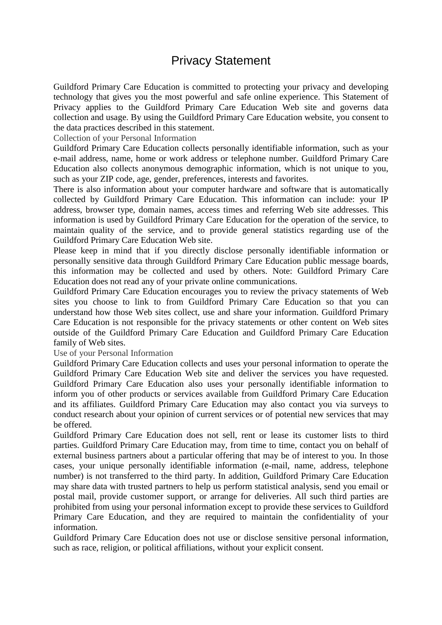## Privacy Statement

Guildford Primary Care Education is committed to protecting your privacy and developing technology that gives you the most powerful and safe online experience. This Statement of Privacy applies to the Guildford Primary Care Education Web site and governs data collection and usage. By using the Guildford Primary Care Education website, you consent to the data practices described in this statement.

Collection of your Personal Information

Guildford Primary Care Education collects personally identifiable information, such as your e-mail address, name, home or work address or telephone number. Guildford Primary Care Education also collects anonymous demographic information, which is not unique to you, such as your ZIP code, age, gender, preferences, interests and favorites.

There is also information about your computer hardware and software that is automatically collected by Guildford Primary Care Education. This information can include: your IP address, browser type, domain names, access times and referring Web site addresses. This information is used by Guildford Primary Care Education for the operation of the service, to maintain quality of the service, and to provide general statistics regarding use of the Guildford Primary Care Education Web site.

Please keep in mind that if you directly disclose personally identifiable information or personally sensitive data through Guildford Primary Care Education public message boards, this information may be collected and used by others. Note: Guildford Primary Care Education does not read any of your private online communications.

Guildford Primary Care Education encourages you to review the privacy statements of Web sites you choose to link to from Guildford Primary Care Education so that you can understand how those Web sites collect, use and share your information. Guildford Primary Care Education is not responsible for the privacy statements or other content on Web sites outside of the Guildford Primary Care Education and Guildford Primary Care Education family of Web sites.

Use of your Personal Information

Guildford Primary Care Education collects and uses your personal information to operate the Guildford Primary Care Education Web site and deliver the services you have requested. Guildford Primary Care Education also uses your personally identifiable information to inform you of other products or services available from Guildford Primary Care Education and its affiliates. Guildford Primary Care Education may also contact you via surveys to conduct research about your opinion of current services or of potential new services that may be offered.

Guildford Primary Care Education does not sell, rent or lease its customer lists to third parties. Guildford Primary Care Education may, from time to time, contact you on behalf of external business partners about a particular offering that may be of interest to you. In those cases, your unique personally identifiable information (e-mail, name, address, telephone number) is not transferred to the third party. In addition, Guildford Primary Care Education may share data with trusted partners to help us perform statistical analysis, send you email or postal mail, provide customer support, or arrange for deliveries. All such third parties are prohibited from using your personal information except to provide these services to Guildford Primary Care Education, and they are required to maintain the confidentiality of your information.

Guildford Primary Care Education does not use or disclose sensitive personal information, such as race, religion, or political affiliations, without your explicit consent.